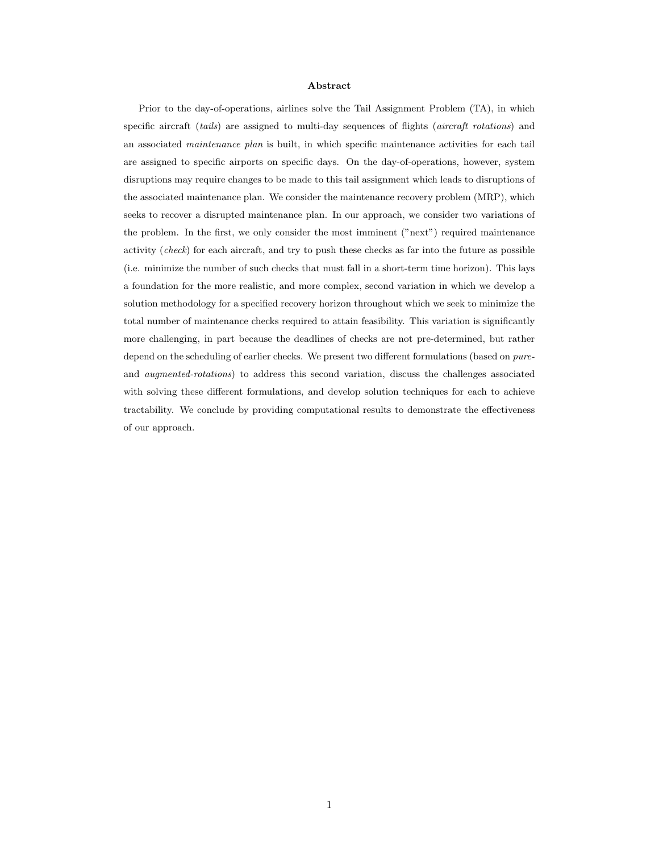#### Abstract

Prior to the day-of-operations, airlines solve the Tail Assignment Problem (TA), in which specific aircraft (tails) are assigned to multi-day sequences of flights (aircraft rotations) and an associated *maintenance plan* is built, in which specific maintenance activities for each tail are assigned to specific airports on specific days. On the day-of-operations, however, system disruptions may require changes to be made to this tail assignment which leads to disruptions of the associated maintenance plan. We consider the maintenance recovery problem (MRP), which seeks to recover a disrupted maintenance plan. In our approach, we consider two variations of the problem. In the first, we only consider the most imminent ("next") required maintenance activity (check) for each aircraft, and try to push these checks as far into the future as possible (i.e. minimize the number of such checks that must fall in a short-term time horizon). This lays a foundation for the more realistic, and more complex, second variation in which we develop a solution methodology for a specified recovery horizon throughout which we seek to minimize the total number of maintenance checks required to attain feasibility. This variation is significantly more challenging, in part because the deadlines of checks are not pre-determined, but rather depend on the scheduling of earlier checks. We present two different formulations (based on pureand augmented-rotations) to address this second variation, discuss the challenges associated with solving these different formulations, and develop solution techniques for each to achieve tractability. We conclude by providing computational results to demonstrate the effectiveness of our approach.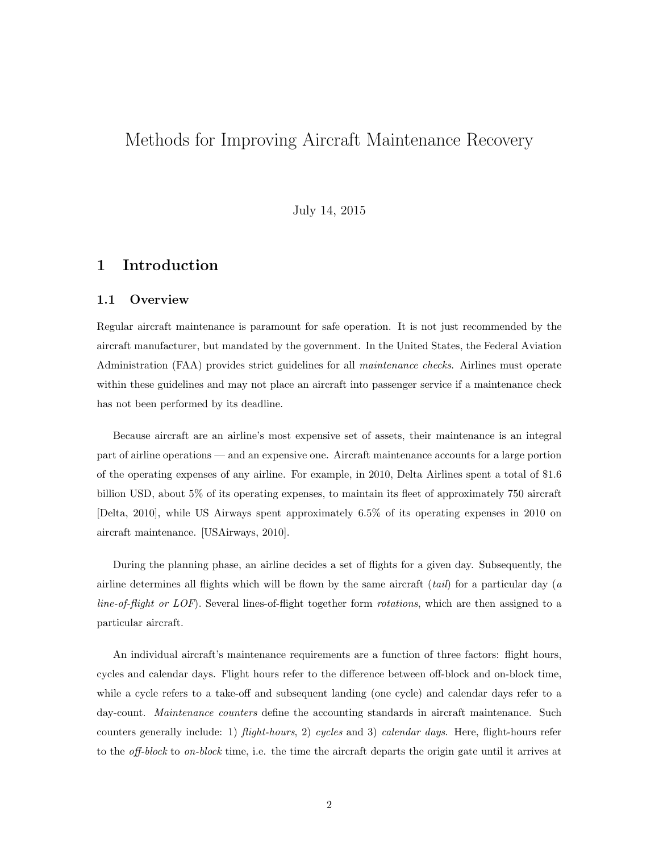# Methods for Improving Aircraft Maintenance Recovery

July 14, 2015

## 1 Introduction

## 1.1 Overview

Regular aircraft maintenance is paramount for safe operation. It is not just recommended by the aircraft manufacturer, but mandated by the government. In the United States, the Federal Aviation Administration (FAA) provides strict guidelines for all maintenance checks. Airlines must operate within these guidelines and may not place an aircraft into passenger service if a maintenance check has not been performed by its deadline.

Because aircraft are an airline's most expensive set of assets, their maintenance is an integral part of airline operations — and an expensive one. Aircraft maintenance accounts for a large portion of the operating expenses of any airline. For example, in 2010, Delta Airlines spent a total of \$1.6 billion USD, about 5% of its operating expenses, to maintain its fleet of approximately 750 aircraft [Delta, 2010], while US Airways spent approximately 6.5% of its operating expenses in 2010 on aircraft maintenance. [USAirways, 2010].

During the planning phase, an airline decides a set of flights for a given day. Subsequently, the airline determines all flights which will be flown by the same aircraft  $(tail)$  for a particular day (a line-of-flight or LOF). Several lines-of-flight together form rotations, which are then assigned to a particular aircraft.

An individual aircraft's maintenance requirements are a function of three factors: flight hours, cycles and calendar days. Flight hours refer to the difference between off-block and on-block time, while a cycle refers to a take-off and subsequent landing (one cycle) and calendar days refer to a day-count. *Maintenance counters* define the accounting standards in aircraft maintenance. Such counters generally include: 1) *flight-hours*, 2) cycles and 3) calendar days. Here, flight-hours refer to the *off-block* to *on-block* time, i.e. the time the aircraft departs the origin gate until it arrives at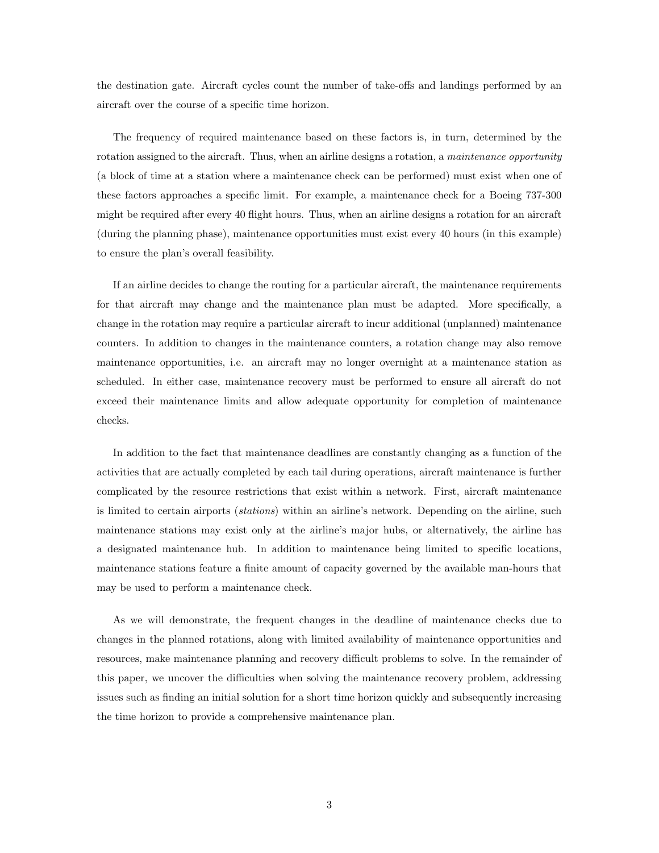the destination gate. Aircraft cycles count the number of take-offs and landings performed by an aircraft over the course of a specific time horizon.

The frequency of required maintenance based on these factors is, in turn, determined by the rotation assigned to the aircraft. Thus, when an airline designs a rotation, a *maintenance opportunity* (a block of time at a station where a maintenance check can be performed) must exist when one of these factors approaches a specific limit. For example, a maintenance check for a Boeing 737-300 might be required after every 40 flight hours. Thus, when an airline designs a rotation for an aircraft (during the planning phase), maintenance opportunities must exist every 40 hours (in this example) to ensure the plan's overall feasibility.

If an airline decides to change the routing for a particular aircraft, the maintenance requirements for that aircraft may change and the maintenance plan must be adapted. More specifically, a change in the rotation may require a particular aircraft to incur additional (unplanned) maintenance counters. In addition to changes in the maintenance counters, a rotation change may also remove maintenance opportunities, i.e. an aircraft may no longer overnight at a maintenance station as scheduled. In either case, maintenance recovery must be performed to ensure all aircraft do not exceed their maintenance limits and allow adequate opportunity for completion of maintenance checks.

In addition to the fact that maintenance deadlines are constantly changing as a function of the activities that are actually completed by each tail during operations, aircraft maintenance is further complicated by the resource restrictions that exist within a network. First, aircraft maintenance is limited to certain airports (stations) within an airline's network. Depending on the airline, such maintenance stations may exist only at the airline's major hubs, or alternatively, the airline has a designated maintenance hub. In addition to maintenance being limited to specific locations, maintenance stations feature a finite amount of capacity governed by the available man-hours that may be used to perform a maintenance check.

As we will demonstrate, the frequent changes in the deadline of maintenance checks due to changes in the planned rotations, along with limited availability of maintenance opportunities and resources, make maintenance planning and recovery difficult problems to solve. In the remainder of this paper, we uncover the difficulties when solving the maintenance recovery problem, addressing issues such as finding an initial solution for a short time horizon quickly and subsequently increasing the time horizon to provide a comprehensive maintenance plan.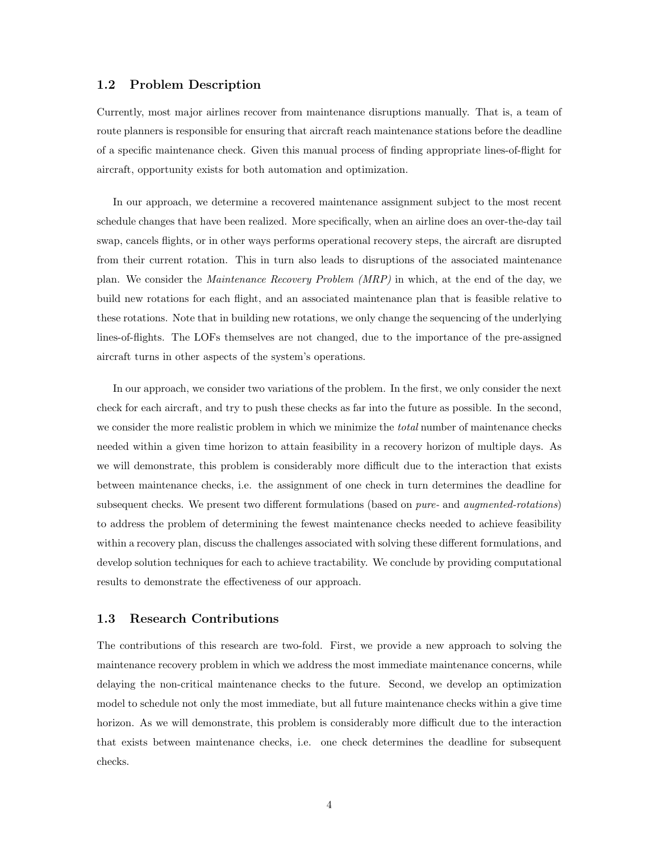### 1.2 Problem Description

Currently, most major airlines recover from maintenance disruptions manually. That is, a team of route planners is responsible for ensuring that aircraft reach maintenance stations before the deadline of a specific maintenance check. Given this manual process of finding appropriate lines-of-flight for aircraft, opportunity exists for both automation and optimization.

In our approach, we determine a recovered maintenance assignment subject to the most recent schedule changes that have been realized. More specifically, when an airline does an over-the-day tail swap, cancels flights, or in other ways performs operational recovery steps, the aircraft are disrupted from their current rotation. This in turn also leads to disruptions of the associated maintenance plan. We consider the Maintenance Recovery Problem (MRP) in which, at the end of the day, we build new rotations for each flight, and an associated maintenance plan that is feasible relative to these rotations. Note that in building new rotations, we only change the sequencing of the underlying lines-of-flights. The LOFs themselves are not changed, due to the importance of the pre-assigned aircraft turns in other aspects of the system's operations.

In our approach, we consider two variations of the problem. In the first, we only consider the next check for each aircraft, and try to push these checks as far into the future as possible. In the second, we consider the more realistic problem in which we minimize the *total* number of maintenance checks needed within a given time horizon to attain feasibility in a recovery horizon of multiple days. As we will demonstrate, this problem is considerably more difficult due to the interaction that exists between maintenance checks, i.e. the assignment of one check in turn determines the deadline for subsequent checks. We present two different formulations (based on *pure*- and *augmented-rotations*) to address the problem of determining the fewest maintenance checks needed to achieve feasibility within a recovery plan, discuss the challenges associated with solving these different formulations, and develop solution techniques for each to achieve tractability. We conclude by providing computational results to demonstrate the effectiveness of our approach.

#### 1.3 Research Contributions

The contributions of this research are two-fold. First, we provide a new approach to solving the maintenance recovery problem in which we address the most immediate maintenance concerns, while delaying the non-critical maintenance checks to the future. Second, we develop an optimization model to schedule not only the most immediate, but all future maintenance checks within a give time horizon. As we will demonstrate, this problem is considerably more difficult due to the interaction that exists between maintenance checks, i.e. one check determines the deadline for subsequent checks.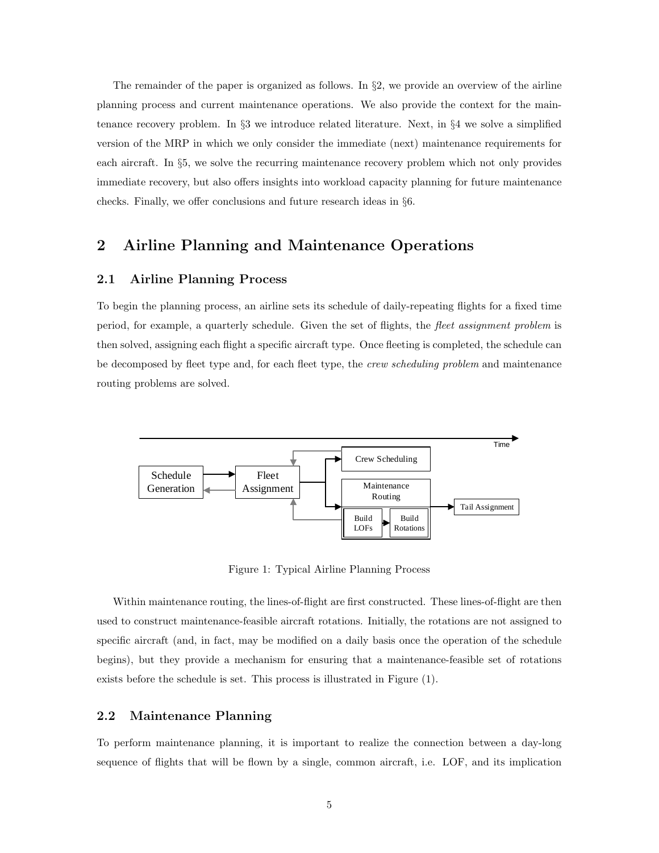The remainder of the paper is organized as follows. In  $\S2$ , we provide an overview of the airline planning process and current maintenance operations. We also provide the context for the maintenance recovery problem. In §3 we introduce related literature. Next, in §4 we solve a simplified version of the MRP in which we only consider the immediate (next) maintenance requirements for each aircraft. In §5, we solve the recurring maintenance recovery problem which not only provides immediate recovery, but also offers insights into workload capacity planning for future maintenance checks. Finally, we offer conclusions and future research ideas in §6.

## 2 Airline Planning and Maintenance Operations

## 2.1 Airline Planning Process

To begin the planning process, an airline sets its schedule of daily-repeating flights for a fixed time period, for example, a quarterly schedule. Given the set of flights, the fleet assignment problem is then solved, assigning each flight a specific aircraft type. Once fleeting is completed, the schedule can be decomposed by fleet type and, for each fleet type, the *crew scheduling problem* and maintenance routing problems are solved.



Figure 1: Typical Airline Planning Process

Within maintenance routing, the lines-of-flight are first constructed. These lines-of-flight are then used to construct maintenance-feasible aircraft rotations. Initially, the rotations are not assigned to specific aircraft (and, in fact, may be modified on a daily basis once the operation of the schedule begins), but they provide a mechanism for ensuring that a maintenance-feasible set of rotations exists before the schedule is set. This process is illustrated in Figure (1).

## 2.2 Maintenance Planning

To perform maintenance planning, it is important to realize the connection between a day-long sequence of flights that will be flown by a single, common aircraft, i.e. LOF, and its implication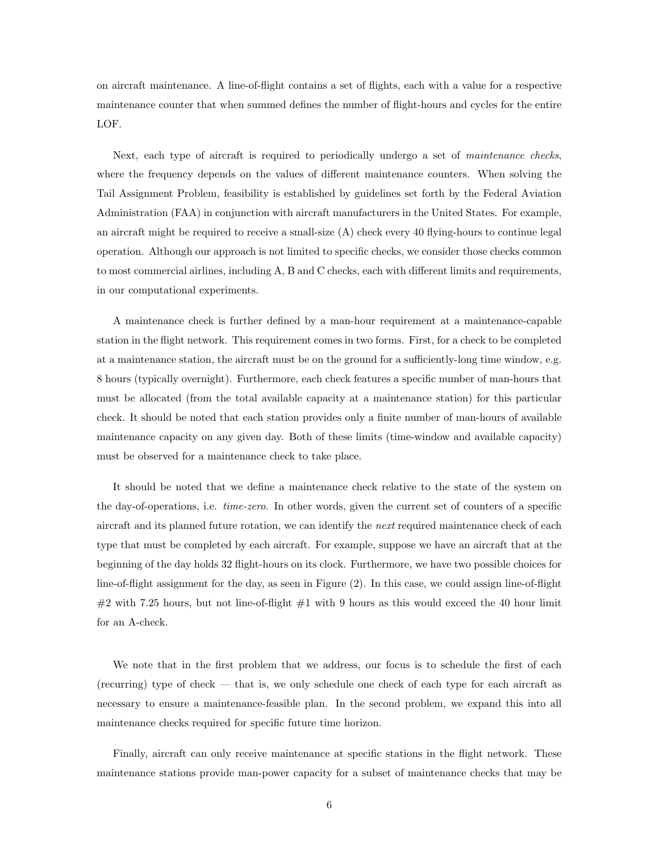on aircraft maintenance. A line-of-flight contains a set of flights, each with a value for a respective maintenance counter that when summed defines the number of flight-hours and cycles for the entire LOF.

Next, each type of aircraft is required to periodically undergo a set of maintenance checks, where the frequency depends on the values of different maintenance counters. When solving the Tail Assignment Problem, feasibility is established by guidelines set forth by the Federal Aviation Administration (FAA) in conjunction with aircraft manufacturers in the United States. For example, an aircraft might be required to receive a small-size  $(A)$  check every 40 flying-hours to continue legal operation. Although our approach is not limited to specific checks, we consider those checks common to most commercial airlines, including A, B and C checks, each with different limits and requirements, in our computational experiments.

A maintenance check is further defined by a man-hour requirement at a maintenance-capable station in the flight network. This requirement comes in two forms. First, for a check to be completed at a maintenance station, the aircraft must be on the ground for a sufficiently-long time window, e.g. 8 hours (typically overnight). Furthermore, each check features a specific number of man-hours that must be allocated (from the total available capacity at a maintenance station) for this particular check. It should be noted that each station provides only a finite number of man-hours of available maintenance capacity on any given day. Both of these limits (time-window and available capacity) must be observed for a maintenance check to take place.

It should be noted that we define a maintenance check relative to the state of the system on the day-of-operations, i.e. time-zero. In other words, given the current set of counters of a specific aircraft and its planned future rotation, we can identify the *next* required maintenance check of each type that must be completed by each aircraft. For example, suppose we have an aircraft that at the beginning of the day holds 32 flight-hours on its clock. Furthermore, we have two possible choices for line-of-flight assignment for the day, as seen in Figure (2). In this case, we could assign line-of-flight  $\#2$  with 7.25 hours, but not line-of-flight  $\#1$  with 9 hours as this would exceed the 40 hour limit for an A-check.

We note that in the first problem that we address, our focus is to schedule the first of each (recurring) type of check — that is, we only schedule one check of each type for each aircraft as necessary to ensure a maintenance-feasible plan. In the second problem, we expand this into all maintenance checks required for specific future time horizon.

Finally, aircraft can only receive maintenance at specific stations in the flight network. These maintenance stations provide man-power capacity for a subset of maintenance checks that may be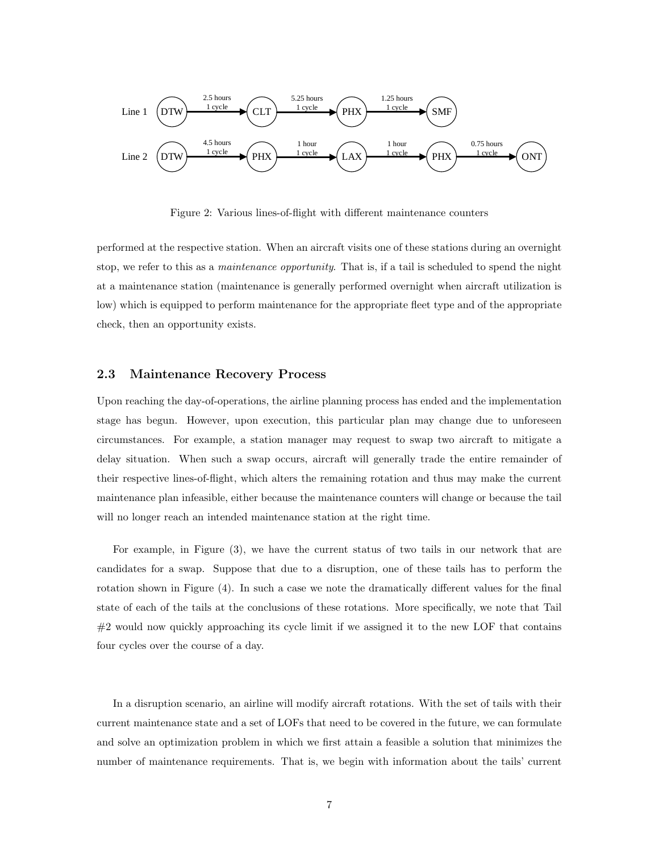

Figure 2: Various lines-of-flight with different maintenance counters

performed at the respective station. When an aircraft visits one of these stations during an overnight stop, we refer to this as a *maintenance opportunity*. That is, if a tail is scheduled to spend the night at a maintenance station (maintenance is generally performed overnight when aircraft utilization is low) which is equipped to perform maintenance for the appropriate fleet type and of the appropriate check, then an opportunity exists.

### 2.3 Maintenance Recovery Process

Upon reaching the day-of-operations, the airline planning process has ended and the implementation stage has begun. However, upon execution, this particular plan may change due to unforeseen circumstances. For example, a station manager may request to swap two aircraft to mitigate a delay situation. When such a swap occurs, aircraft will generally trade the entire remainder of their respective lines-of-flight, which alters the remaining rotation and thus may make the current maintenance plan infeasible, either because the maintenance counters will change or because the tail will no longer reach an intended maintenance station at the right time.

For example, in Figure (3), we have the current status of two tails in our network that are candidates for a swap. Suppose that due to a disruption, one of these tails has to perform the rotation shown in Figure (4). In such a case we note the dramatically different values for the final state of each of the tails at the conclusions of these rotations. More specifically, we note that Tail  $#2$  would now quickly approaching its cycle limit if we assigned it to the new LOF that contains four cycles over the course of a day.

In a disruption scenario, an airline will modify aircraft rotations. With the set of tails with their current maintenance state and a set of LOFs that need to be covered in the future, we can formulate and solve an optimization problem in which we first attain a feasible a solution that minimizes the number of maintenance requirements. That is, we begin with information about the tails' current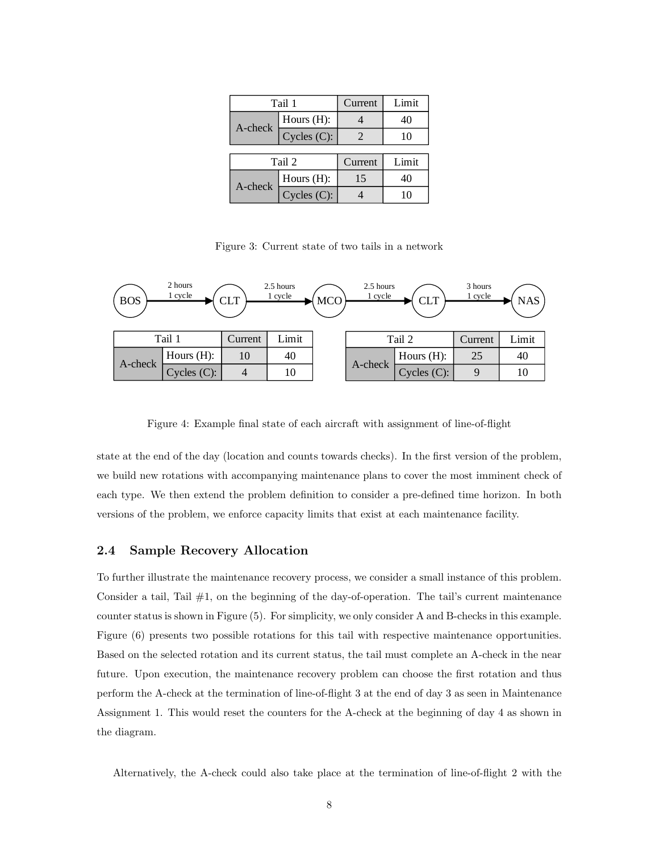| Tail 1  |               | Current | Limit |
|---------|---------------|---------|-------|
| A-check | Hours $(H)$ : |         | 40    |
|         | Cycles (C):   |         | 10    |
|         |               |         |       |
| Tail 2  |               | Current | Limit |
| A-check | Hours $(H)$ : | 15      | 40    |
|         | Cycles (C):   |         |       |

Figure 3: Current state of two tails in a network



Figure 4: Example final state of each aircraft with assignment of line-of-flight

state at the end of the day (location and counts towards checks). In the first version of the problem, we build new rotations with accompanying maintenance plans to cover the most imminent check of each type. We then extend the problem definition to consider a pre-defined time horizon. In both versions of the problem, we enforce capacity limits that exist at each maintenance facility.

### 2.4 Sample Recovery Allocation

To further illustrate the maintenance recovery process, we consider a small instance of this problem. Consider a tail, Tail  $#1$ , on the beginning of the day-of-operation. The tail's current maintenance counter status is shown in Figure (5). For simplicity, we only consider A and B-checks in this example. Figure (6) presents two possible rotations for this tail with respective maintenance opportunities. Based on the selected rotation and its current status, the tail must complete an A-check in the near future. Upon execution, the maintenance recovery problem can choose the first rotation and thus perform the A-check at the termination of line-of-flight 3 at the end of day 3 as seen in Maintenance Assignment 1. This would reset the counters for the A-check at the beginning of day 4 as shown in the diagram.

Alternatively, the A-check could also take place at the termination of line-of-flight 2 with the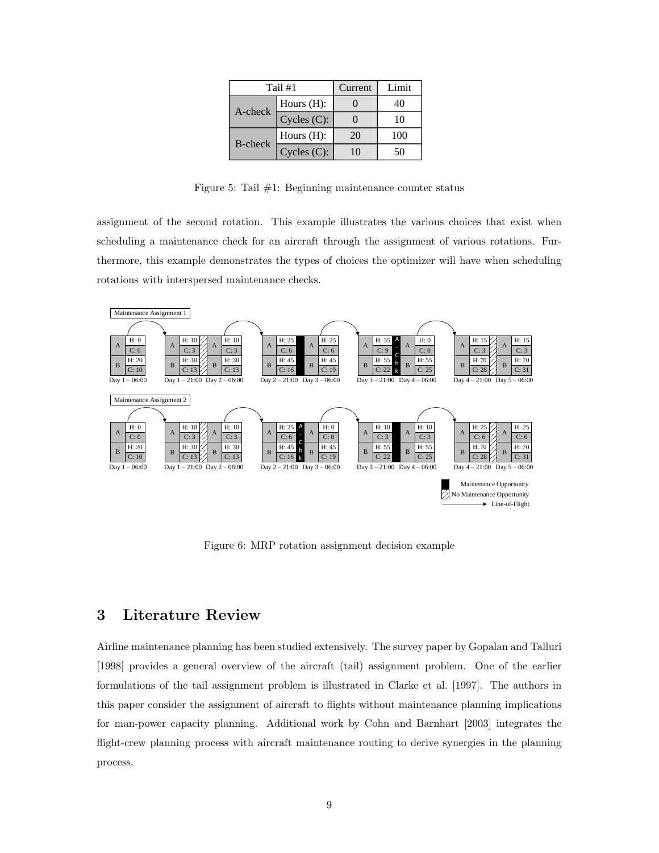| Tail #1        |                | Current | Limit |
|----------------|----------------|---------|-------|
| A-check        | Hours $(H)$ :  |         | 40    |
|                | Cycles $(C)$ : |         | 10    |
| <b>B-check</b> | Hours $(H)$ :  | 20      | 100   |
|                | Cycles (C):    | 10      | 50    |

Figure 5: Tail  $#1$ : Beginning maintenance counter status

assignment of the second rotation. This example illustrates the various choices that exist when scheduling a maintenance check for an aircraft through the assignment of various rotations. Furthermore, this example demonstrates the types of choices the optimizer will have when scheduling rotations with interspersed maintenance checks.



Figure 6: MRP rotation assignment decision example

## 3 Literature Review

Airline maintenance planning has been studied extensively. The survey paper by Gopalan and Talluri [1998] provides a general overview of the aircraft (tail) assignment problem. One of the earlier formulations of the tail assignment problem is illustrated in Clarke et al. [1997]. The authors in this paper consider the assignment of aircraft to flights without maintenance planning implications for man-power capacity planning. Additional work by Cohn and Barnhart [2003] integrates the flight-crew planning process with aircraft maintenance routing to derive synergies in the planning process.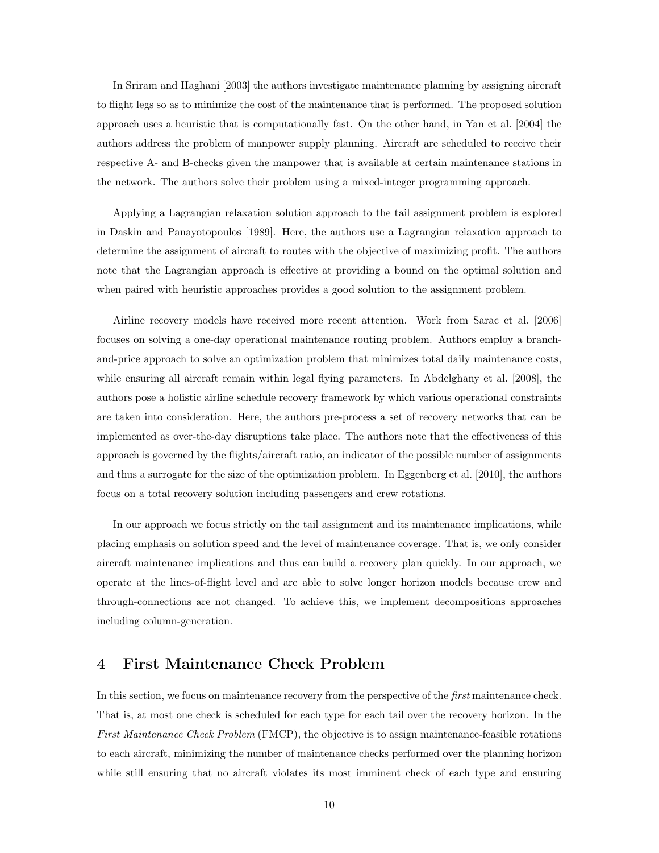In Sriram and Haghani [2003] the authors investigate maintenance planning by assigning aircraft to flight legs so as to minimize the cost of the maintenance that is performed. The proposed solution approach uses a heuristic that is computationally fast. On the other hand, in Yan et al. [2004] the authors address the problem of manpower supply planning. Aircraft are scheduled to receive their respective A- and B-checks given the manpower that is available at certain maintenance stations in the network. The authors solve their problem using a mixed-integer programming approach.

Applying a Lagrangian relaxation solution approach to the tail assignment problem is explored in Daskin and Panayotopoulos [1989]. Here, the authors use a Lagrangian relaxation approach to determine the assignment of aircraft to routes with the objective of maximizing profit. The authors note that the Lagrangian approach is effective at providing a bound on the optimal solution and when paired with heuristic approaches provides a good solution to the assignment problem.

Airline recovery models have received more recent attention. Work from Sarac et al. [2006] focuses on solving a one-day operational maintenance routing problem. Authors employ a branchand-price approach to solve an optimization problem that minimizes total daily maintenance costs, while ensuring all aircraft remain within legal flying parameters. In Abdelghany et al. [2008], the authors pose a holistic airline schedule recovery framework by which various operational constraints are taken into consideration. Here, the authors pre-process a set of recovery networks that can be implemented as over-the-day disruptions take place. The authors note that the effectiveness of this approach is governed by the flights/aircraft ratio, an indicator of the possible number of assignments and thus a surrogate for the size of the optimization problem. In Eggenberg et al. [2010], the authors focus on a total recovery solution including passengers and crew rotations.

In our approach we focus strictly on the tail assignment and its maintenance implications, while placing emphasis on solution speed and the level of maintenance coverage. That is, we only consider aircraft maintenance implications and thus can build a recovery plan quickly. In our approach, we operate at the lines-of-flight level and are able to solve longer horizon models because crew and through-connections are not changed. To achieve this, we implement decompositions approaches including column-generation.

## 4 First Maintenance Check Problem

In this section, we focus on maintenance recovery from the perspective of the *first* maintenance check. That is, at most one check is scheduled for each type for each tail over the recovery horizon. In the First Maintenance Check Problem (FMCP), the objective is to assign maintenance-feasible rotations to each aircraft, minimizing the number of maintenance checks performed over the planning horizon while still ensuring that no aircraft violates its most imminent check of each type and ensuring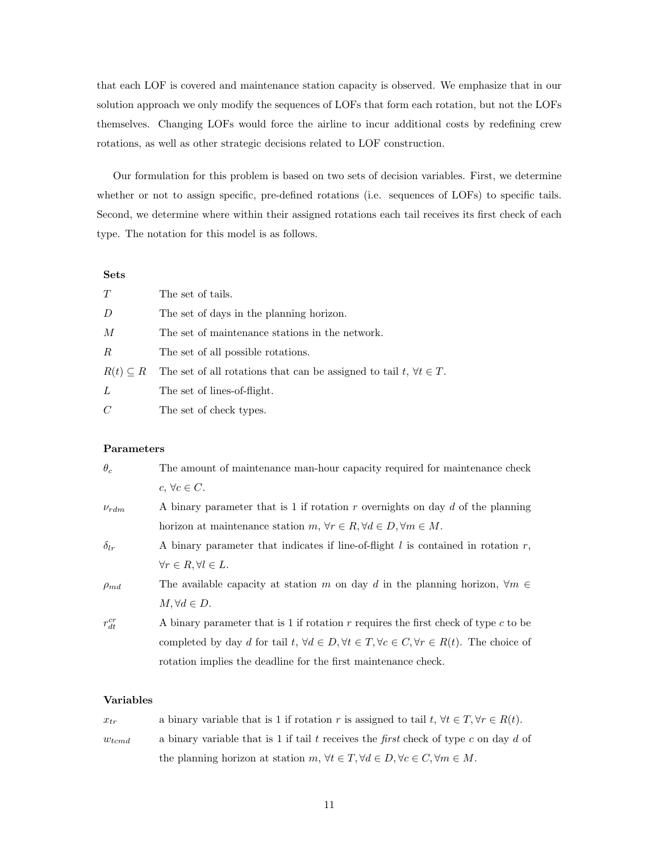that each LOF is covered and maintenance station capacity is observed. We emphasize that in our solution approach we only modify the sequences of LOFs that form each rotation, but not the LOFs themselves. Changing LOFs would force the airline to incur additional costs by redefining crew rotations, as well as other strategic decisions related to LOF construction.

Our formulation for this problem is based on two sets of decision variables. First, we determine whether or not to assign specific, pre-defined rotations (i.e. sequences of LOFs) to specific tails. Second, we determine where within their assigned rotations each tail receives its first check of each type. The notation for this model is as follows.

#### Sets

| T                  | The set of tails.                                                            |
|--------------------|------------------------------------------------------------------------------|
| $\left( \right)$   | The set of days in the planning horizon.                                     |
| M                  | The set of maintenance stations in the network.                              |
| R                  | The set of all possible rotations.                                           |
| $R(t) \subseteq R$ | The set of all rotations that can be assigned to tail $t, \forall t \in T$ . |
| L                  | The set of lines-of-flight.                                                  |
| $\mathcal{C}$      | The set of check types.                                                      |

#### Parameters

| $\theta_c$    | The amount of maintenance man-hour capacity required for maintenance check                                             |
|---------------|------------------------------------------------------------------------------------------------------------------------|
|               | $c, \forall c \in C.$                                                                                                  |
| $\nu_{rdm}$   | A binary parameter that is 1 if rotation $r$ overnights on day $d$ of the planning                                     |
|               | horizon at maintenance station $m, \forall r \in R, \forall d \in D, \forall m \in M$ .                                |
| $\delta_{lr}$ | A binary parameter that indicates if line-of-flight $l$ is contained in rotation $r$ ,                                 |
|               | $\forall r \in R, \forall l \in L.$                                                                                    |
| $\rho_{md}$   | The available capacity at station m on day d in the planning horizon, $\forall m \in$                                  |
|               | $M, \forall d \in D.$                                                                                                  |
| $r_{dt}^{cr}$ | A binary parameter that is 1 if rotation $r$ requires the first check of type $c$ to be                                |
|               | completed by day d for tail $t, \forall d \in D, \forall t \in T, \forall c \in C, \forall r \in R(t)$ . The choice of |
|               | rotation implies the deadline for the first maintenance check.                                                         |

### Variables

| $x_{tr}$   | a binary variable that is 1 if rotation r is assigned to tail $t, \forall t \in T, \forall r \in R(t)$ .  |
|------------|-----------------------------------------------------------------------------------------------------------|
| $w_{tcmd}$ | a binary variable that is 1 if tail t receives the first check of type c on day d of                      |
|            | the planning horizon at station $m, \forall t \in T, \forall d \in D, \forall c \in C, \forall m \in M$ . |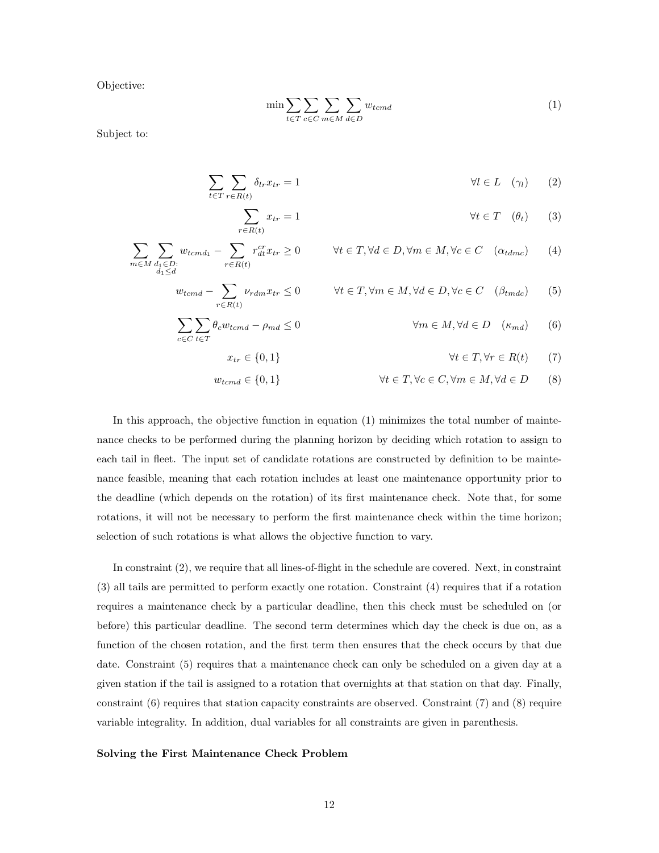Objective:

$$
\min \sum_{t \in T} \sum_{c \in C} \sum_{m \in M} \sum_{d \in D} w_{tcmd} \tag{1}
$$

Subject to:

$$
\sum_{t \in T} \sum_{r \in R(t)} \delta_{lr} x_{tr} = 1 \qquad \qquad \forall l \in L \quad (\gamma_l) \qquad (2)
$$

$$
\sum_{r \in R(t)} x_{tr} = 1 \qquad \qquad \forall t \in T \quad (\theta_t) \qquad (3)
$$

$$
\sum_{m \in M} \sum_{\substack{d_1 \in D:\\d_1 \le d}} w_{temd_1} - \sum_{r \in R(t)} r_{dt}^{cr} x_{tr} \ge 0 \qquad \forall t \in T, \forall d \in D, \forall m \in M, \forall c \in C \quad (\alpha_{tdmc}) \tag{4}
$$

$$
w_{tcmd} - \sum_{r \in R(t)} \nu_{rdm} x_{tr} \le 0 \qquad \forall t \in T, \forall m \in M, \forall d \in D, \forall c \in C \quad (\beta_{tmdc}) \tag{5}
$$

$$
\sum_{c \in C} \sum_{t \in T} \theta_c w_{temd} - \rho_{md} \le 0 \qquad \forall m \in M, \forall d \in D \quad (\kappa_{md}) \tag{6}
$$

$$
\forall t \in T, \forall r \in R(t) \qquad (7)
$$

$$
w_{temd} \in \{0, 1\} \qquad \forall t \in T, \forall c \in C, \forall m \in M, \forall d \in D \qquad (8)
$$

In this approach, the objective function in equation (1) minimizes the total number of maintenance checks to be performed during the planning horizon by deciding which rotation to assign to each tail in fleet. The input set of candidate rotations are constructed by definition to be maintenance feasible, meaning that each rotation includes at least one maintenance opportunity prior to the deadline (which depends on the rotation) of its first maintenance check. Note that, for some rotations, it will not be necessary to perform the first maintenance check within the time horizon; selection of such rotations is what allows the objective function to vary.

 $x_{tr} \in \{0, 1\}$ 

In constraint (2), we require that all lines-of-flight in the schedule are covered. Next, in constraint (3) all tails are permitted to perform exactly one rotation. Constraint (4) requires that if a rotation requires a maintenance check by a particular deadline, then this check must be scheduled on (or before) this particular deadline. The second term determines which day the check is due on, as a function of the chosen rotation, and the first term then ensures that the check occurs by that due date. Constraint (5) requires that a maintenance check can only be scheduled on a given day at a given station if the tail is assigned to a rotation that overnights at that station on that day. Finally, constraint  $(6)$  requires that station capacity constraints are observed. Constraint  $(7)$  and  $(8)$  require variable integrality. In addition, dual variables for all constraints are given in parenthesis.

#### Solving the First Maintenance Check Problem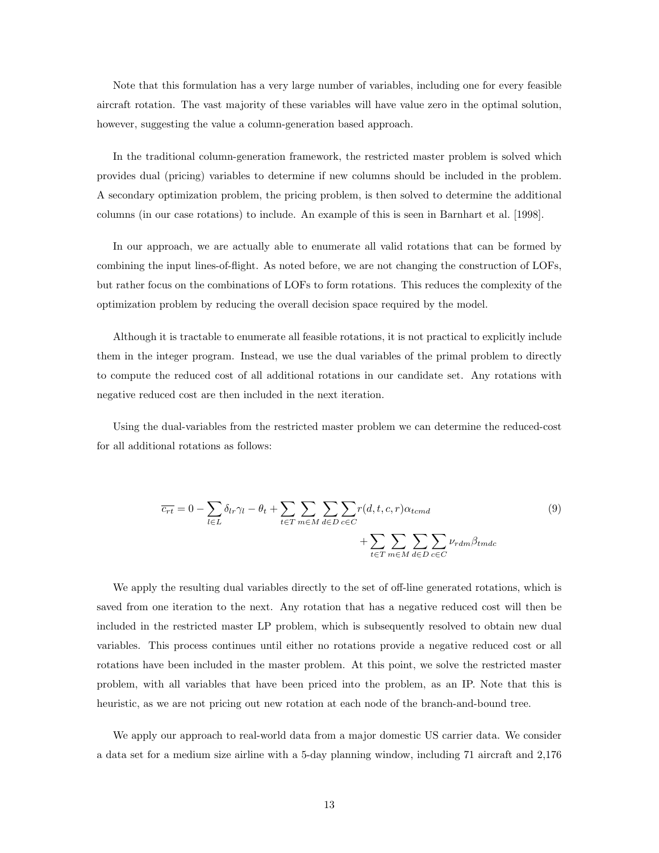Note that this formulation has a very large number of variables, including one for every feasible aircraft rotation. The vast majority of these variables will have value zero in the optimal solution, however, suggesting the value a column-generation based approach.

In the traditional column-generation framework, the restricted master problem is solved which provides dual (pricing) variables to determine if new columns should be included in the problem. A secondary optimization problem, the pricing problem, is then solved to determine the additional columns (in our case rotations) to include. An example of this is seen in Barnhart et al. [1998].

In our approach, we are actually able to enumerate all valid rotations that can be formed by combining the input lines-of-flight. As noted before, we are not changing the construction of LOFs, but rather focus on the combinations of LOFs to form rotations. This reduces the complexity of the optimization problem by reducing the overall decision space required by the model.

Although it is tractable to enumerate all feasible rotations, it is not practical to explicitly include them in the integer program. Instead, we use the dual variables of the primal problem to directly to compute the reduced cost of all additional rotations in our candidate set. Any rotations with negative reduced cost are then included in the next iteration.

Using the dual-variables from the restricted master problem we can determine the reduced-cost for all additional rotations as follows:

$$
\overline{c_{rt}} = 0 - \sum_{l \in L} \delta_{lr} \gamma_l - \theta_t + \sum_{t \in T} \sum_{m \in M} \sum_{d \in D} \sum_{c \in C} r(d, t, c, r) \alpha_{temd} + \sum_{t \in T} \sum_{m \in M} \sum_{d \in D} \sum_{c \in C} \nu_{rdm} \beta_{tmdc}
$$
\n(9)

We apply the resulting dual variables directly to the set of off-line generated rotations, which is saved from one iteration to the next. Any rotation that has a negative reduced cost will then be included in the restricted master LP problem, which is subsequently resolved to obtain new dual variables. This process continues until either no rotations provide a negative reduced cost or all rotations have been included in the master problem. At this point, we solve the restricted master problem, with all variables that have been priced into the problem, as an IP. Note that this is heuristic, as we are not pricing out new rotation at each node of the branch-and-bound tree.

We apply our approach to real-world data from a major domestic US carrier data. We consider a data set for a medium size airline with a 5-day planning window, including 71 aircraft and 2,176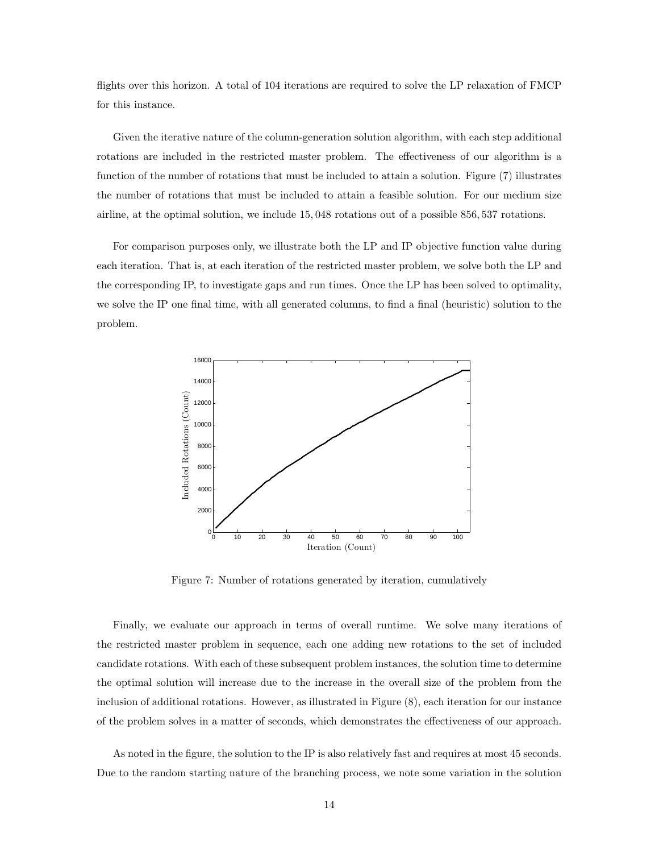flights over this horizon. A total of 104 iterations are required to solve the LP relaxation of FMCP for this instance.

Given the iterative nature of the column-generation solution algorithm, with each step additional rotations are included in the restricted master problem. The effectiveness of our algorithm is a function of the number of rotations that must be included to attain a solution. Figure (7) illustrates the number of rotations that must be included to attain a feasible solution. For our medium size airline, at the optimal solution, we include 15, 048 rotations out of a possible 856, 537 rotations.

For comparison purposes only, we illustrate both the LP and IP objective function value during each iteration. That is, at each iteration of the restricted master problem, we solve both the LP and the corresponding IP, to investigate gaps and run times. Once the LP has been solved to optimality, we solve the IP one final time, with all generated columns, to find a final (heuristic) solution to the problem.



Figure 7: Number of rotations generated by iteration, cumulatively

Finally, we evaluate our approach in terms of overall runtime. We solve many iterations of the restricted master problem in sequence, each one adding new rotations to the set of included candidate rotations. With each of these subsequent problem instances, the solution time to determine the optimal solution will increase due to the increase in the overall size of the problem from the inclusion of additional rotations. However, as illustrated in Figure (8), each iteration for our instance of the problem solves in a matter of seconds, which demonstrates the effectiveness of our approach.

As noted in the figure, the solution to the IP is also relatively fast and requires at most 45 seconds. Due to the random starting nature of the branching process, we note some variation in the solution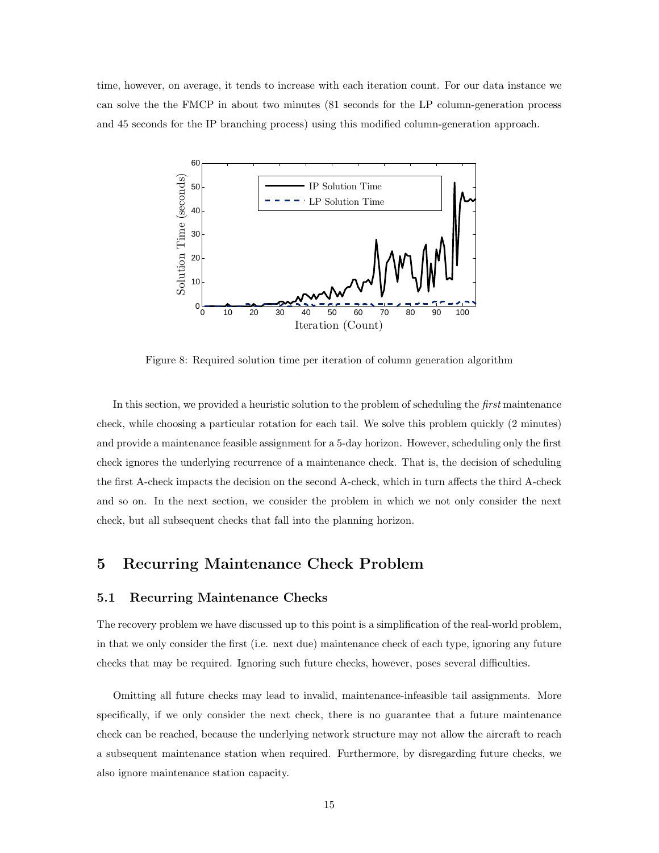time, however, on average, it tends to increase with each iteration count. For our data instance we can solve the the FMCP in about two minutes (81 seconds for the LP column-generation process and 45 seconds for the IP branching process) using this modified column-generation approach.



Figure 8: Required solution time per iteration of column generation algorithm

In this section, we provided a heuristic solution to the problem of scheduling the *first* maintenance check, while choosing a particular rotation for each tail. We solve this problem quickly (2 minutes) and provide a maintenance feasible assignment for a 5-day horizon. However, scheduling only the first check ignores the underlying recurrence of a maintenance check. That is, the decision of scheduling the first A-check impacts the decision on the second A-check, which in turn affects the third A-check and so on. In the next section, we consider the problem in which we not only consider the next check, but all subsequent checks that fall into the planning horizon.

## 5 Recurring Maintenance Check Problem

## 5.1 Recurring Maintenance Checks

The recovery problem we have discussed up to this point is a simplification of the real-world problem, in that we only consider the first (i.e. next due) maintenance check of each type, ignoring any future checks that may be required. Ignoring such future checks, however, poses several difficulties.

Omitting all future checks may lead to invalid, maintenance-infeasible tail assignments. More specifically, if we only consider the next check, there is no guarantee that a future maintenance check can be reached, because the underlying network structure may not allow the aircraft to reach a subsequent maintenance station when required. Furthermore, by disregarding future checks, we also ignore maintenance station capacity.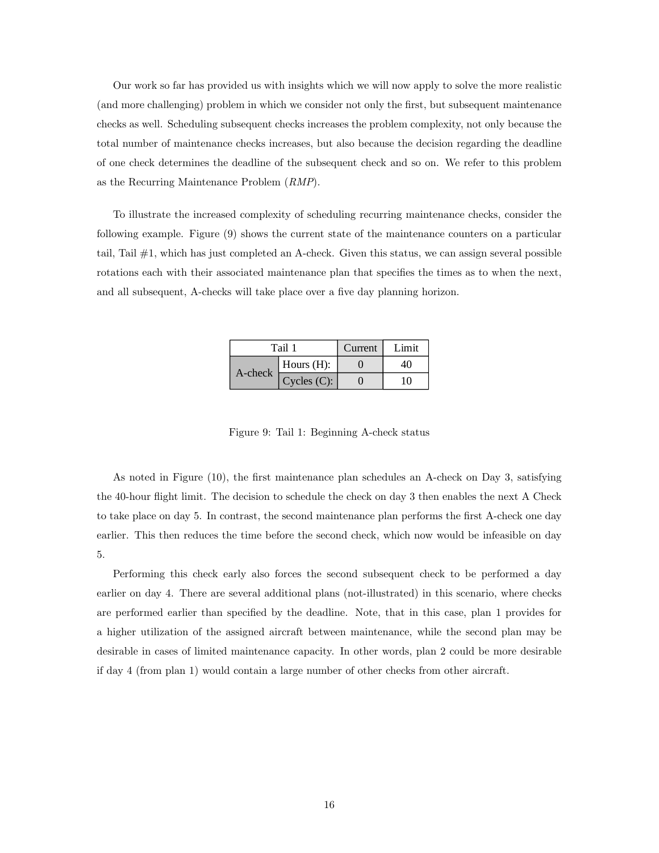Our work so far has provided us with insights which we will now apply to solve the more realistic (and more challenging) problem in which we consider not only the first, but subsequent maintenance checks as well. Scheduling subsequent checks increases the problem complexity, not only because the total number of maintenance checks increases, but also because the decision regarding the deadline of one check determines the deadline of the subsequent check and so on. We refer to this problem as the Recurring Maintenance Problem (RMP).

To illustrate the increased complexity of scheduling recurring maintenance checks, consider the following example. Figure (9) shows the current state of the maintenance counters on a particular tail, Tail #1, which has just completed an A-check. Given this status, we can assign several possible rotations each with their associated maintenance plan that specifies the times as to when the next, and all subsequent, A-checks will take place over a five day planning horizon.

| Tail 1  |               | Current | Limit |
|---------|---------------|---------|-------|
| A-check | Hours $(H)$ : |         |       |
|         | Cycles (C):   |         | חי    |

Figure 9: Tail 1: Beginning A-check status

As noted in Figure (10), the first maintenance plan schedules an A-check on Day 3, satisfying the 40-hour flight limit. The decision to schedule the check on day 3 then enables the next A Check to take place on day 5. In contrast, the second maintenance plan performs the first A-check one day earlier. This then reduces the time before the second check, which now would be infeasible on day 5.

Performing this check early also forces the second subsequent check to be performed a day earlier on day 4. There are several additional plans (not-illustrated) in this scenario, where checks are performed earlier than specified by the deadline. Note, that in this case, plan 1 provides for a higher utilization of the assigned aircraft between maintenance, while the second plan may be desirable in cases of limited maintenance capacity. In other words, plan 2 could be more desirable if day 4 (from plan 1) would contain a large number of other checks from other aircraft.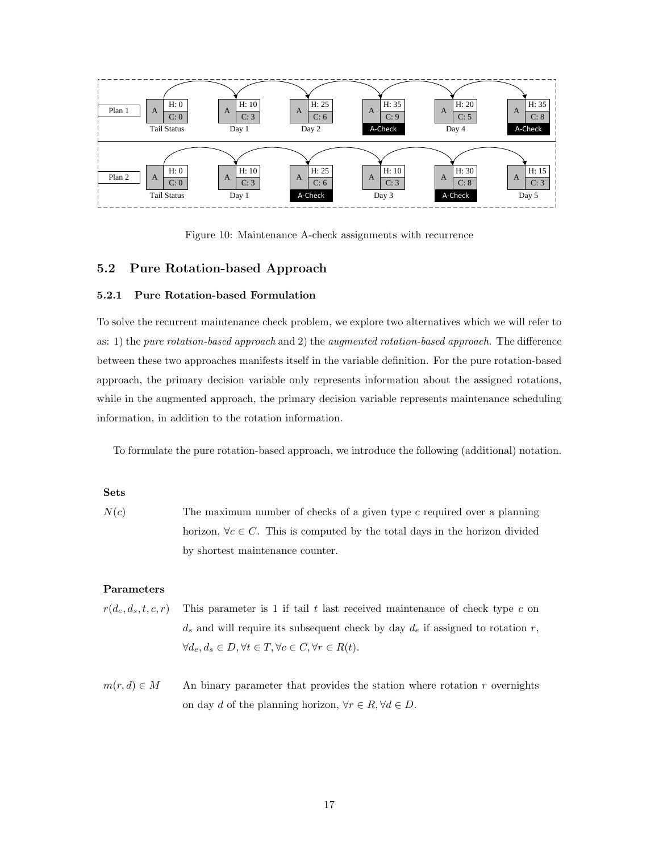

Figure 10: Maintenance A-check assignments with recurrence

## 5.2 Pure Rotation-based Approach

#### 5.2.1 Pure Rotation-based Formulation

To solve the recurrent maintenance check problem, we explore two alternatives which we will refer to as: 1) the pure rotation-based approach and 2) the augmented rotation-based approach. The difference between these two approaches manifests itself in the variable definition. For the pure rotation-based approach, the primary decision variable only represents information about the assigned rotations, while in the augmented approach, the primary decision variable represents maintenance scheduling information, in addition to the rotation information.

To formulate the pure rotation-based approach, we introduce the following (additional) notation.

#### Sets

 $N(c)$  The maximum number of checks of a given type c required over a planning horizon,  $\forall c \in C$ . This is computed by the total days in the horizon divided by shortest maintenance counter.

#### Parameters

- $r(d_e, d_s, t, c, r)$  This parameter is 1 if tail t last received maintenance of check type c on  $d_s$  and will require its subsequent check by day  $d_e$  if assigned to rotation r,  $\forall d_e, d_s \in D, \forall t \in T, \forall c \in C, \forall r \in R(t).$
- $m(r, d) \in M$  An binary parameter that provides the station where rotation r overnights on day d of the planning horizon,  $\forall r \in R, \forall d \in D$ .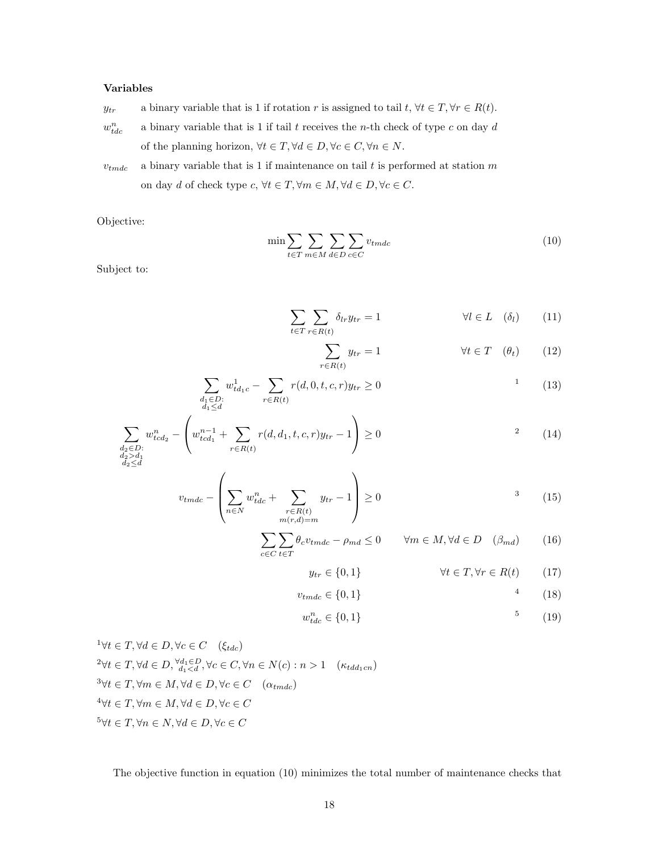### Variables

- $y_{tr}$  a binary variable that is 1 if rotation r is assigned to tail  $t, \forall t \in T, \forall r \in R(t)$ .
- $w_{ti}^n$ a binary variable that is 1 if tail  $t$  receives the  $n\text{-th}$  check of type  $c$  on day  $d$ of the planning horizon,  $\forall t \in T, \forall d \in D, \forall c \in C, \forall n \in N.$
- $v_{tmdc}$  a binary variable that is 1 if maintenance on tail t is performed at station m on day d of check type  $c, \forall t \in T, \forall m \in M, \forall d \in D, \forall c \in C$ .

Objective:

$$
\min \sum_{t \in T} \sum_{m \in M} \sum_{d \in D} \sum_{c \in C} v_{tmdc} \tag{10}
$$

Subject to:

$$
\sum_{t \in T} \sum_{r \in R(t)} \delta_{lr} y_{tr} = 1 \qquad \forall l \in L \quad (\delta_l) \qquad (11)
$$

$$
\sum_{r \in R(t)} y_{tr} = 1 \qquad \forall t \in T \quad (\theta_t) \qquad (12)
$$

$$
\sum_{\substack{d_1 \in D:\\d_1 \le d}} w_{td_1c}^1 - \sum_{r \in R(t)} r(d, 0, t, c, r) y_{tr} \ge 0
$$
\n<sup>1</sup>\n<sup>(13)</sup>

$$
\sum_{\substack{d_2 \in D:\\d_2 > d_1}} w_{tcd_2}^n - \left( w_{tcd_1}^{n-1} + \sum_{r \in R(t)} r(d, d_1, t, c, r) y_{tr} - 1 \right) \ge 0
$$
\n
$$
(14)
$$

$$
\substack{\iota_2 < u_1 \\ d_2 \le d}
$$

$$
v_{tmdc} - \left(\sum_{n \in N} w_{tdc}^n + \sum_{\substack{r \in R(t) \\ m(r,d) = m}} y_{tr} - 1\right) \ge 0
$$
\n
$$
(15)
$$

$$
\sum_{c \in C} \sum_{t \in T} \theta_c v_{tmdc} - \rho_{md} \le 0 \qquad \forall m \in M, \forall d \in D \quad (\beta_{md}) \tag{16}
$$

$$
y_{tr} \in \{0, 1\} \qquad \forall t \in T, \forall r \in R(t) \qquad (17)
$$

$$
v_{tmdc} \in \{0, 1\} \tag{18}
$$

$$
w_{tdc}^n \in \{0, 1\} \tag{19}
$$

$$
{}^{1}\forall t \in T, \forall d \in D, \forall c \in C \quad (\xi_{tdc})
$$
  
\n
$$
{}^{2}\forall t \in T, \forall d \in D, \forall d_{1} \in D, \forall c \in C, \forall n \in N(c) : n > 1 \quad (\kappa_{tdd_{1}cn})
$$
  
\n
$$
{}^{3}\forall t \in T, \forall m \in M, \forall d \in D, \forall c \in C \quad (\alpha_{tmdc})
$$
  
\n
$$
{}^{4}\forall t \in T, \forall m \in M, \forall d \in D, \forall c \in C
$$
  
\n
$$
{}^{5}\forall t \in T, \forall n \in N, \forall d \in D, \forall c \in C
$$

The objective function in equation (10) minimizes the total number of maintenance checks that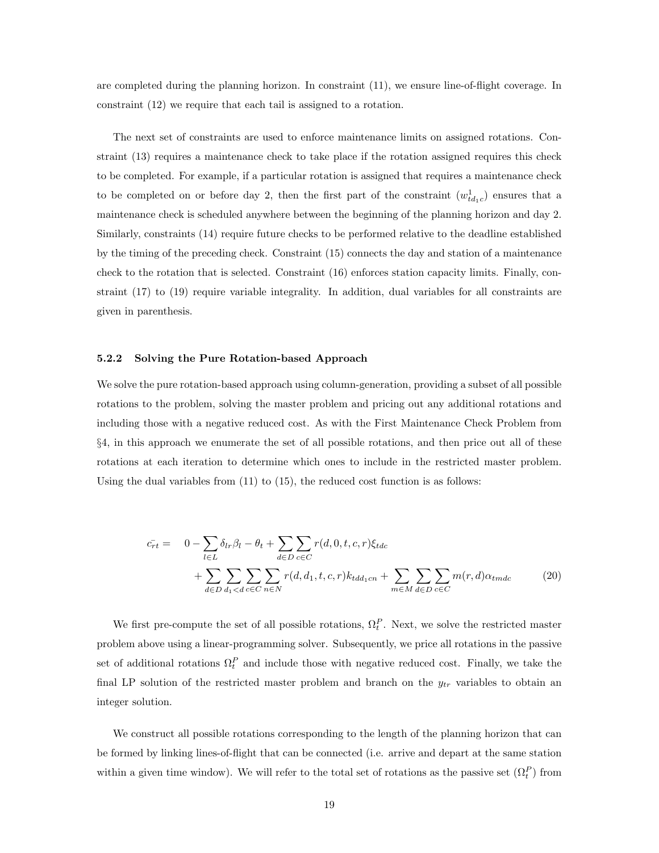are completed during the planning horizon. In constraint (11), we ensure line-of-flight coverage. In constraint (12) we require that each tail is assigned to a rotation.

The next set of constraints are used to enforce maintenance limits on assigned rotations. Constraint (13) requires a maintenance check to take place if the rotation assigned requires this check to be completed. For example, if a particular rotation is assigned that requires a maintenance check to be completed on or before day 2, then the first part of the constraint  $(w_{td_1c}^1)$  ensures that a maintenance check is scheduled anywhere between the beginning of the planning horizon and day 2. Similarly, constraints (14) require future checks to be performed relative to the deadline established by the timing of the preceding check. Constraint (15) connects the day and station of a maintenance check to the rotation that is selected. Constraint (16) enforces station capacity limits. Finally, constraint (17) to (19) require variable integrality. In addition, dual variables for all constraints are given in parenthesis.

#### 5.2.2 Solving the Pure Rotation-based Approach

We solve the pure rotation-based approach using column-generation, providing a subset of all possible rotations to the problem, solving the master problem and pricing out any additional rotations and including those with a negative reduced cost. As with the First Maintenance Check Problem from §4, in this approach we enumerate the set of all possible rotations, and then price out all of these rotations at each iteration to determine which ones to include in the restricted master problem. Using the dual variables from  $(11)$  to  $(15)$ , the reduced cost function is as follows:

$$
\bar{c}_{rt} = 0 - \sum_{l \in L} \delta_{lr} \beta_l - \theta_t + \sum_{d \in D} \sum_{c \in C} r(d, 0, t, c, r) \xi_{tdc} \n+ \sum_{d \in D} \sum_{d_1 < d} \sum_{c \in C} \sum_{n \in N} r(d, d_1, t, c, r) k_{tdd_1 cn} + \sum_{m \in M} \sum_{d \in D} \sum_{c \in C} m(r, d) \alpha_{tmdc}
$$
\n(20)

We first pre-compute the set of all possible rotations,  $\Omega_t^P$ . Next, we solve the restricted master problem above using a linear-programming solver. Subsequently, we price all rotations in the passive set of additional rotations  $\Omega_t^P$  and include those with negative reduced cost. Finally, we take the final LP solution of the restricted master problem and branch on the  $y_{tr}$  variables to obtain an integer solution.

We construct all possible rotations corresponding to the length of the planning horizon that can be formed by linking lines-of-flight that can be connected (i.e. arrive and depart at the same station within a given time window). We will refer to the total set of rotations as the passive set  $(\Omega_t^P)$  from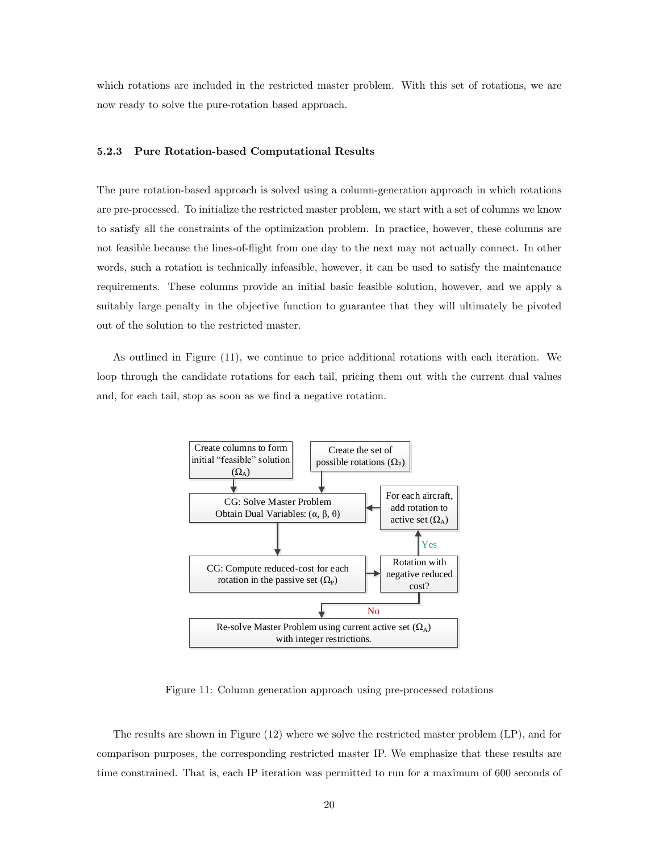which rotations are included in the restricted master problem. With this set of rotations, we are now ready to solve the pure-rotation based approach.

#### 5.2.3 Pure Rotation-based Computational Results

The pure rotation-based approach is solved using a column-generation approach in which rotations are pre-processed. To initialize the restricted master problem, we start with a set of columns we know to satisfy all the constraints of the optimization problem. In practice, however, these columns are not feasible because the lines-of-flight from one day to the next may not actually connect. In other words, such a rotation is technically infeasible, however, it can be used to satisfy the maintenance requirements. These columns provide an initial basic feasible solution, however, and we apply a suitably large penalty in the objective function to guarantee that they will ultimately be pivoted out of the solution to the restricted master.

As outlined in Figure (11), we continue to price additional rotations with each iteration. We loop through the candidate rotations for each tail, pricing them out with the current dual values and, for each tail, stop as soon as we find a negative rotation.



Figure 11: Column generation approach using pre-processed rotations

The results are shown in Figure (12) where we solve the restricted master problem (LP), and for comparison purposes, the corresponding restricted master IP. We emphasize that these results are time constrained. That is, each IP iteration was permitted to run for a maximum of 600 seconds of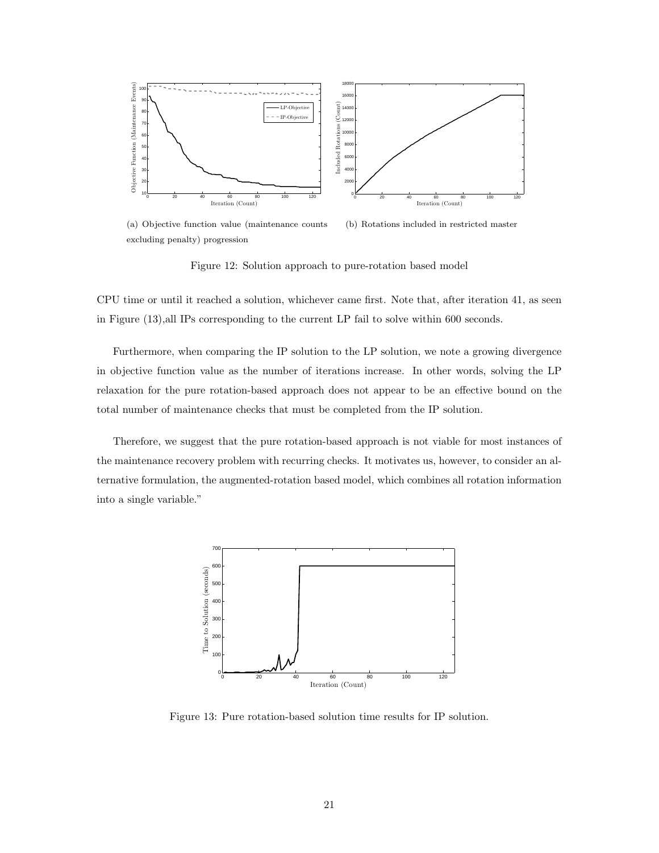

(a) Objective function value (maintenance counts excluding penalty) progression (b) Rotations included in restricted master

Figure 12: Solution approach to pure-rotation based model

CPU time or until it reached a solution, whichever came first. Note that, after iteration 41, as seen in Figure (13),all IPs corresponding to the current LP fail to solve within 600 seconds.

Furthermore, when comparing the IP solution to the LP solution, we note a growing divergence in objective function value as the number of iterations increase. In other words, solving the LP relaxation for the pure rotation-based approach does not appear to be an effective bound on the total number of maintenance checks that must be completed from the IP solution.

Therefore, we suggest that the pure rotation-based approach is not viable for most instances of the maintenance recovery problem with recurring checks. It motivates us, however, to consider an alternative formulation, the augmented-rotation based model, which combines all rotation information into a single variable."



Figure 13: Pure rotation-based solution time results for IP solution.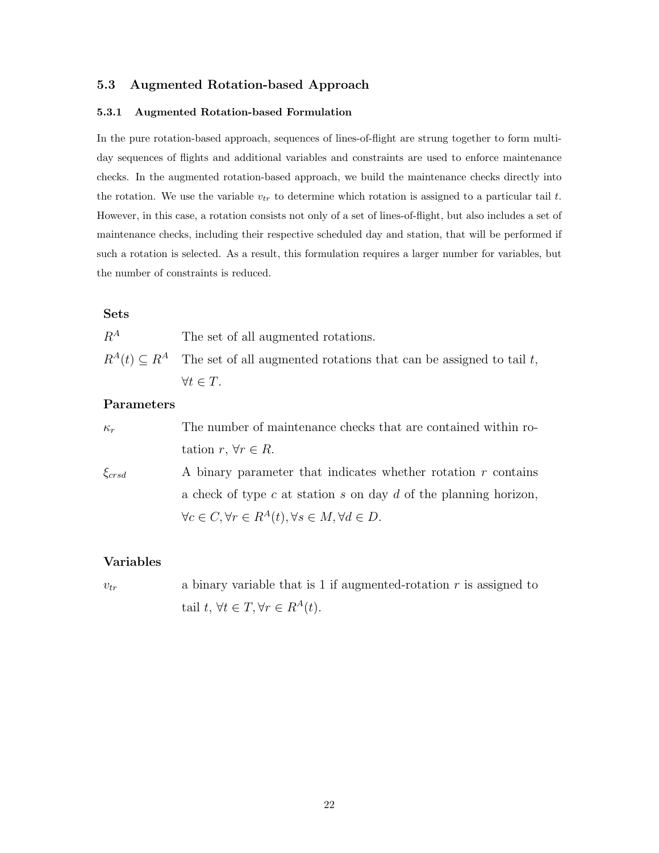### 5.3 Augmented Rotation-based Approach

### 5.3.1 Augmented Rotation-based Formulation

In the pure rotation-based approach, sequences of lines-of-flight are strung together to form multiday sequences of flights and additional variables and constraints are used to enforce maintenance checks. In the augmented rotation-based approach, we build the maintenance checks directly into the rotation. We use the variable  $v_{tr}$  to determine which rotation is assigned to a particular tail t. However, in this case, a rotation consists not only of a set of lines-of-flight, but also includes a set of maintenance checks, including their respective scheduled day and station, that will be performed if such a rotation is selected. As a result, this formulation requires a larger number for variables, but the number of constraints is reduced.

## Sets

 $R^A$  The set of all augmented rotations.

 $R^{A}(t) \subseteq R^{A}$  The set of all augmented rotations that can be assigned to tail t,  $\forall t \in T$ .

## Parameters

| $\kappa_r$   | The number of maintenance checks that are contained within ro-               |
|--------------|------------------------------------------------------------------------------|
|              | tation $r, \forall r \in R$ .                                                |
| $\xi_{crsd}$ | A binary parameter that indicates whether rotation $r$ contains              |
|              | a check of type c at station s on day d of the planning horizon,             |
|              | $\forall c \in C, \forall r \in R^{A}(t), \forall s \in M, \forall d \in D.$ |

## Variables

 $v_{tr}$  a binary variable that is 1 if augmented-rotation r is assigned to tail  $t, \, \forall t \in T, \forall r \in R^A(t).$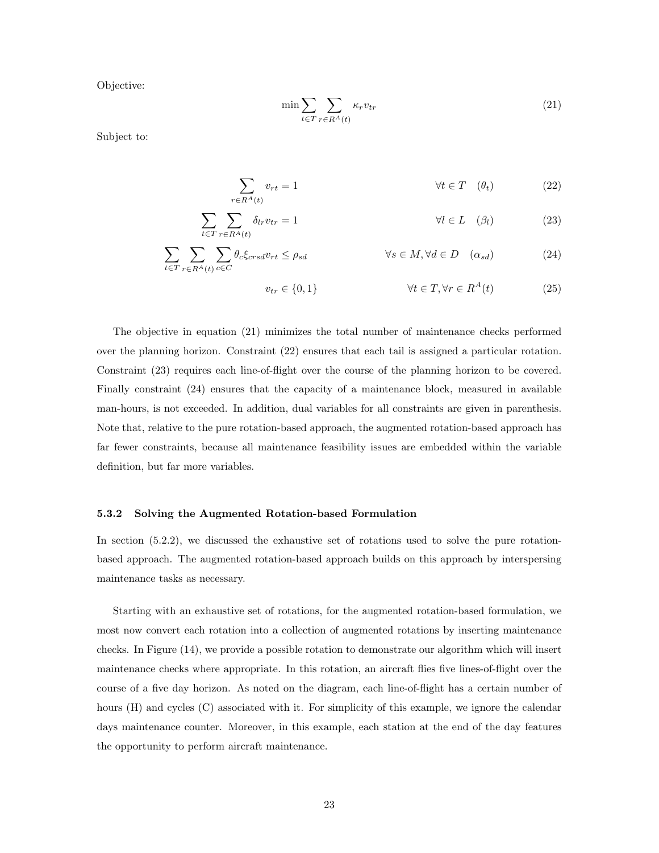Objective:

$$
\min \sum_{t \in T} \sum_{r \in R^A(t)} \kappa_r v_{tr} \tag{21}
$$

Subject to:

$$
\sum_{r \in R^A(t)} v_{rt} = 1 \qquad \qquad \forall t \in T \quad (\theta_t) \tag{22}
$$

$$
\sum_{t \in T} \sum_{r \in R^A(t)} \delta_{lr} v_{tr} = 1 \qquad \qquad \forall l \in L \quad (\beta_l) \tag{23}
$$

$$
\sum_{t \in T} \sum_{r \in R^A(t)} \sum_{c \in C} \theta_c \xi_{crsd} v_{rt} \le \rho_{sd} \qquad \qquad \forall s \in M, \forall d \in D \quad (\alpha_{sd}) \tag{24}
$$

$$
v_{tr} \in \{0, 1\} \qquad \forall t \in T, \forall r \in R^A(t) \tag{25}
$$

The objective in equation (21) minimizes the total number of maintenance checks performed over the planning horizon. Constraint (22) ensures that each tail is assigned a particular rotation. Constraint (23) requires each line-of-flight over the course of the planning horizon to be covered. Finally constraint (24) ensures that the capacity of a maintenance block, measured in available man-hours, is not exceeded. In addition, dual variables for all constraints are given in parenthesis. Note that, relative to the pure rotation-based approach, the augmented rotation-based approach has far fewer constraints, because all maintenance feasibility issues are embedded within the variable definition, but far more variables.

#### 5.3.2 Solving the Augmented Rotation-based Formulation

In section (5.2.2), we discussed the exhaustive set of rotations used to solve the pure rotationbased approach. The augmented rotation-based approach builds on this approach by interspersing maintenance tasks as necessary.

Starting with an exhaustive set of rotations, for the augmented rotation-based formulation, we most now convert each rotation into a collection of augmented rotations by inserting maintenance checks. In Figure (14), we provide a possible rotation to demonstrate our algorithm which will insert maintenance checks where appropriate. In this rotation, an aircraft flies five lines-of-flight over the course of a five day horizon. As noted on the diagram, each line-of-flight has a certain number of hours (H) and cycles (C) associated with it. For simplicity of this example, we ignore the calendar days maintenance counter. Moreover, in this example, each station at the end of the day features the opportunity to perform aircraft maintenance.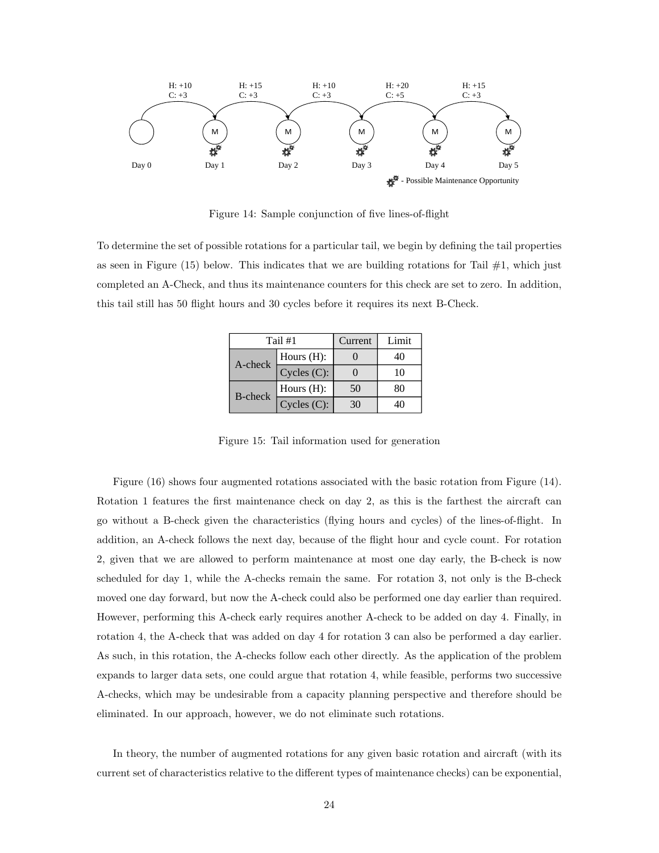

Figure 14: Sample conjunction of five lines-of-flight

To determine the set of possible rotations for a particular tail, we begin by defining the tail properties as seen in Figure (15) below. This indicates that we are building rotations for Tail  $#1$ , which just completed an A-Check, and thus its maintenance counters for this check are set to zero. In addition, this tail still has 50 flight hours and 30 cycles before it requires its next B-Check.

| Tail #1        |               | Current | Limit |
|----------------|---------------|---------|-------|
| A-check        | Hours $(H)$ : |         | 40    |
|                | Cycles (C):   |         | 10    |
| <b>B-check</b> | Hours $(H)$ : | 50      | 80    |
|                | Cycles (C):   | 30      |       |

Figure 15: Tail information used for generation

Figure (16) shows four augmented rotations associated with the basic rotation from Figure (14). Rotation 1 features the first maintenance check on day 2, as this is the farthest the aircraft can go without a B-check given the characteristics (flying hours and cycles) of the lines-of-flight. In addition, an A-check follows the next day, because of the flight hour and cycle count. For rotation 2, given that we are allowed to perform maintenance at most one day early, the B-check is now scheduled for day 1, while the A-checks remain the same. For rotation 3, not only is the B-check moved one day forward, but now the A-check could also be performed one day earlier than required. However, performing this A-check early requires another A-check to be added on day 4. Finally, in rotation 4, the A-check that was added on day 4 for rotation 3 can also be performed a day earlier. As such, in this rotation, the A-checks follow each other directly. As the application of the problem expands to larger data sets, one could argue that rotation 4, while feasible, performs two successive A-checks, which may be undesirable from a capacity planning perspective and therefore should be eliminated. In our approach, however, we do not eliminate such rotations.

In theory, the number of augmented rotations for any given basic rotation and aircraft (with its current set of characteristics relative to the different types of maintenance checks) can be exponential,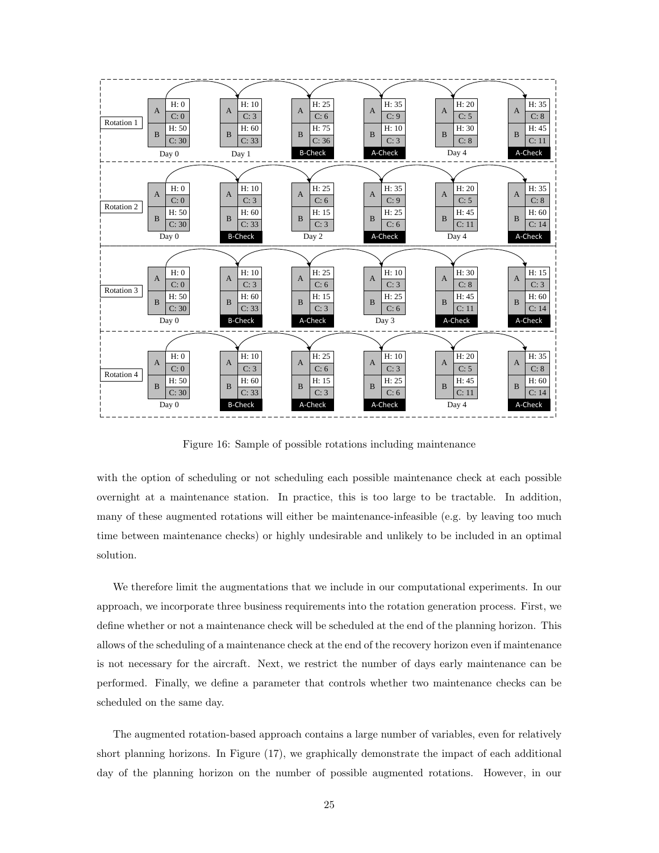

Figure 16: Sample of possible rotations including maintenance

with the option of scheduling or not scheduling each possible maintenance check at each possible overnight at a maintenance station. In practice, this is too large to be tractable. In addition, many of these augmented rotations will either be maintenance-infeasible (e.g. by leaving too much time between maintenance checks) or highly undesirable and unlikely to be included in an optimal solution.

We therefore limit the augmentations that we include in our computational experiments. In our approach, we incorporate three business requirements into the rotation generation process. First, we define whether or not a maintenance check will be scheduled at the end of the planning horizon. This allows of the scheduling of a maintenance check at the end of the recovery horizon even if maintenance is not necessary for the aircraft. Next, we restrict the number of days early maintenance can be performed. Finally, we define a parameter that controls whether two maintenance checks can be scheduled on the same day.

The augmented rotation-based approach contains a large number of variables, even for relatively short planning horizons. In Figure (17), we graphically demonstrate the impact of each additional day of the planning horizon on the number of possible augmented rotations. However, in our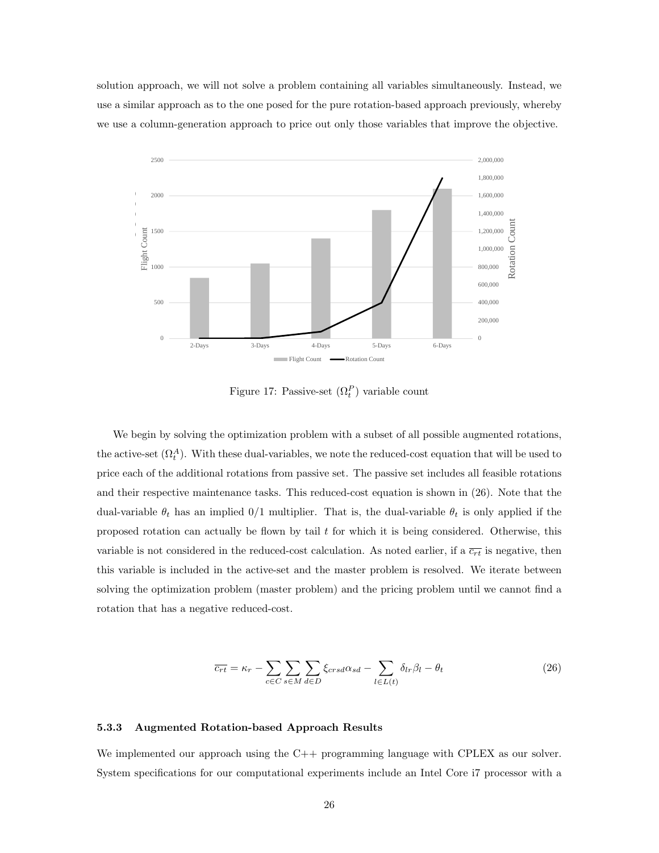solution approach, we will not solve a problem containing all variables simultaneously. Instead, we use a similar approach as to the one posed for the pure rotation-based approach previously, whereby we use a column-generation approach to price out only those variables that improve the objective.



Figure 17: Passive-set  $(\Omega_t^P)$  variable count

We begin by solving the optimization problem with a subset of all possible augmented rotations, the active-set  $(\Omega_t^A)$ . With these dual-variables, we note the reduced-cost equation that will be used to price each of the additional rotations from passive set. The passive set includes all feasible rotations and their respective maintenance tasks. This reduced-cost equation is shown in (26). Note that the dual-variable  $\theta_t$  has an implied 0/1 multiplier. That is, the dual-variable  $\theta_t$  is only applied if the proposed rotation can actually be flown by tail  $t$  for which it is being considered. Otherwise, this variable is not considered in the reduced-cost calculation. As noted earlier, if a  $\overline{c_{rt}}$  is negative, then this variable is included in the active-set and the master problem is resolved. We iterate between solving the optimization problem (master problem) and the pricing problem until we cannot find a rotation that has a negative reduced-cost.

$$
\overline{c_{rt}} = \kappa_r - \sum_{c \in C} \sum_{s \in M} \sum_{d \in D} \xi_{crsd} \alpha_{sd} - \sum_{l \in L(t)} \delta_{lr} \beta_l - \theta_t \tag{26}
$$

#### 5.3.3 Augmented Rotation-based Approach Results

We implemented our approach using the  $C++$  programming language with CPLEX as our solver. System specifications for our computational experiments include an Intel Core i7 processor with a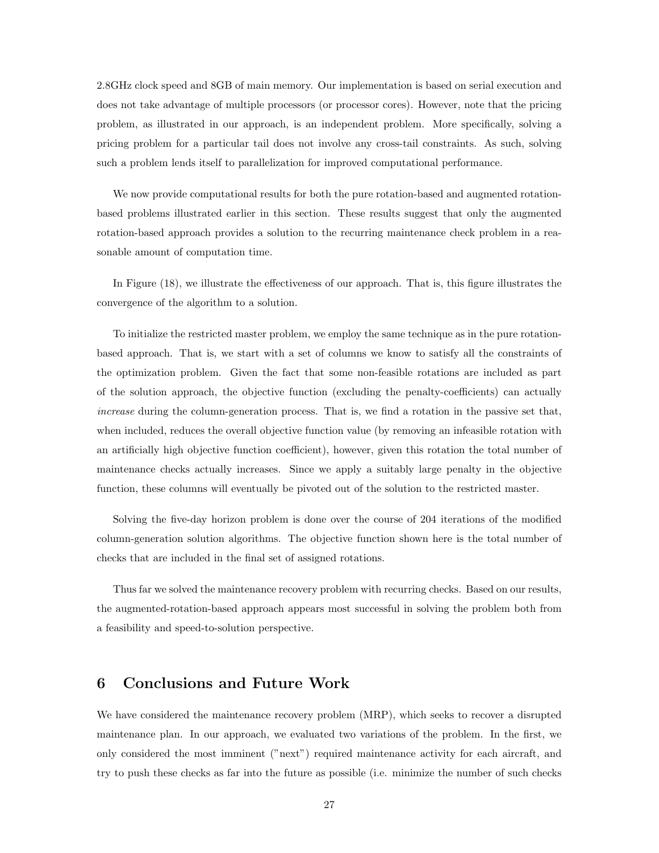2.8GHz clock speed and 8GB of main memory. Our implementation is based on serial execution and does not take advantage of multiple processors (or processor cores). However, note that the pricing problem, as illustrated in our approach, is an independent problem. More specifically, solving a pricing problem for a particular tail does not involve any cross-tail constraints. As such, solving such a problem lends itself to parallelization for improved computational performance.

We now provide computational results for both the pure rotation-based and augmented rotationbased problems illustrated earlier in this section. These results suggest that only the augmented rotation-based approach provides a solution to the recurring maintenance check problem in a reasonable amount of computation time.

In Figure (18), we illustrate the effectiveness of our approach. That is, this figure illustrates the convergence of the algorithm to a solution.

To initialize the restricted master problem, we employ the same technique as in the pure rotationbased approach. That is, we start with a set of columns we know to satisfy all the constraints of the optimization problem. Given the fact that some non-feasible rotations are included as part of the solution approach, the objective function (excluding the penalty-coefficients) can actually increase during the column-generation process. That is, we find a rotation in the passive set that, when included, reduces the overall objective function value (by removing an infeasible rotation with an artificially high objective function coefficient), however, given this rotation the total number of maintenance checks actually increases. Since we apply a suitably large penalty in the objective function, these columns will eventually be pivoted out of the solution to the restricted master.

Solving the five-day horizon problem is done over the course of 204 iterations of the modified column-generation solution algorithms. The objective function shown here is the total number of checks that are included in the final set of assigned rotations.

Thus far we solved the maintenance recovery problem with recurring checks. Based on our results, the augmented-rotation-based approach appears most successful in solving the problem both from a feasibility and speed-to-solution perspective.

## 6 Conclusions and Future Work

We have considered the maintenance recovery problem (MRP), which seeks to recover a disrupted maintenance plan. In our approach, we evaluated two variations of the problem. In the first, we only considered the most imminent ("next") required maintenance activity for each aircraft, and try to push these checks as far into the future as possible (i.e. minimize the number of such checks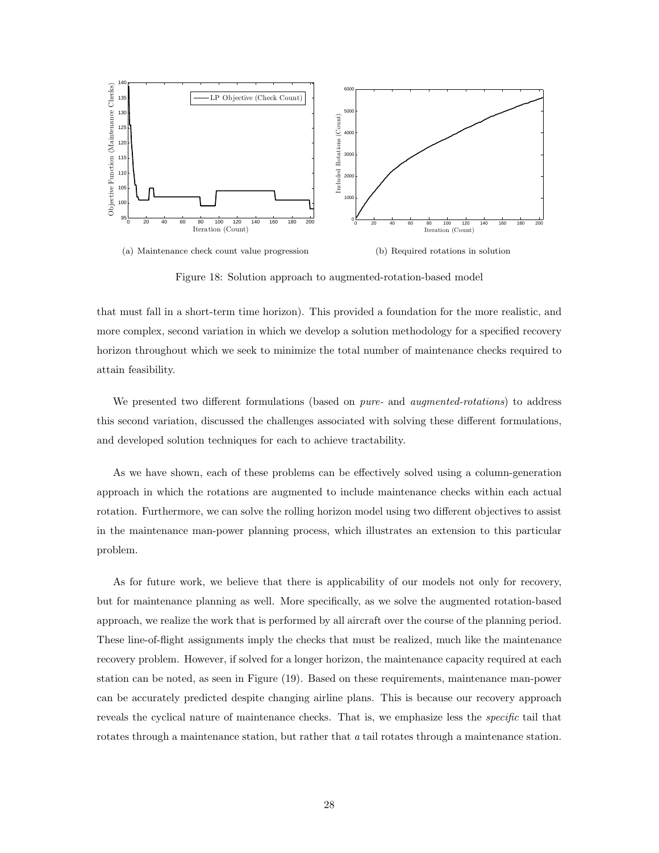

Figure 18: Solution approach to augmented-rotation-based model

that must fall in a short-term time horizon). This provided a foundation for the more realistic, and more complex, second variation in which we develop a solution methodology for a specified recovery horizon throughout which we seek to minimize the total number of maintenance checks required to attain feasibility.

We presented two different formulations (based on *pure*- and *augmented-rotations*) to address this second variation, discussed the challenges associated with solving these different formulations, and developed solution techniques for each to achieve tractability.

As we have shown, each of these problems can be effectively solved using a column-generation approach in which the rotations are augmented to include maintenance checks within each actual rotation. Furthermore, we can solve the rolling horizon model using two different objectives to assist in the maintenance man-power planning process, which illustrates an extension to this particular problem.

As for future work, we believe that there is applicability of our models not only for recovery, but for maintenance planning as well. More specifically, as we solve the augmented rotation-based approach, we realize the work that is performed by all aircraft over the course of the planning period. These line-of-flight assignments imply the checks that must be realized, much like the maintenance recovery problem. However, if solved for a longer horizon, the maintenance capacity required at each station can be noted, as seen in Figure (19). Based on these requirements, maintenance man-power can be accurately predicted despite changing airline plans. This is because our recovery approach reveals the cyclical nature of maintenance checks. That is, we emphasize less the *specific* tail that rotates through a maintenance station, but rather that a tail rotates through a maintenance station.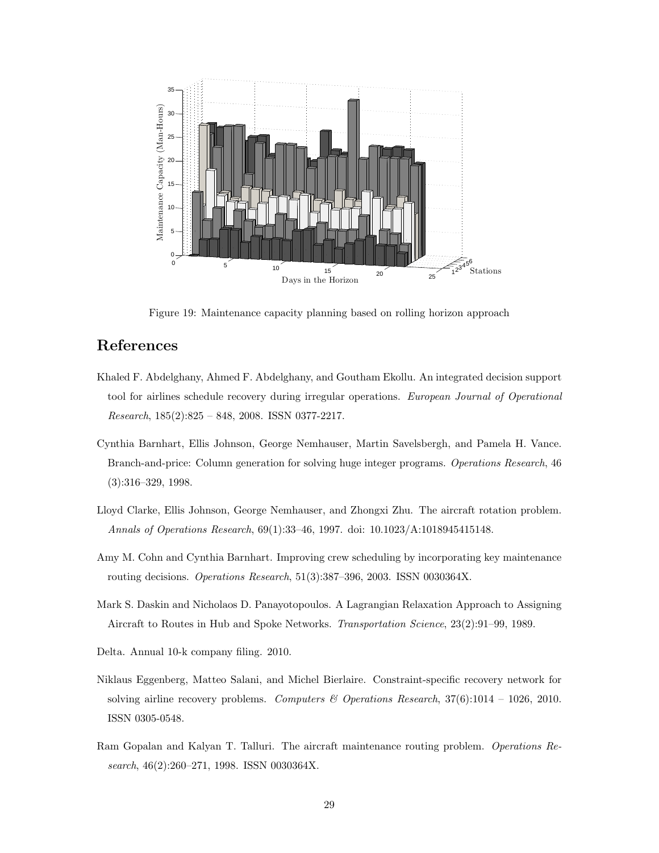

Figure 19: Maintenance capacity planning based on rolling horizon approach

## References

- Khaled F. Abdelghany, Ahmed F. Abdelghany, and Goutham Ekollu. An integrated decision support tool for airlines schedule recovery during irregular operations. European Journal of Operational  $Research, 185(2):825 - 848, 2008. ISSN 0377-2217.$
- Cynthia Barnhart, Ellis Johnson, George Nemhauser, Martin Savelsbergh, and Pamela H. Vance. Branch-and-price: Column generation for solving huge integer programs. Operations Research, 46 (3):316–329, 1998.
- Lloyd Clarke, Ellis Johnson, George Nemhauser, and Zhongxi Zhu. The aircraft rotation problem. Annals of Operations Research, 69(1):33–46, 1997. doi: 10.1023/A:1018945415148.
- Amy M. Cohn and Cynthia Barnhart. Improving crew scheduling by incorporating key maintenance routing decisions. Operations Research, 51(3):387–396, 2003. ISSN 0030364X.
- Mark S. Daskin and Nicholaos D. Panayotopoulos. A Lagrangian Relaxation Approach to Assigning Aircraft to Routes in Hub and Spoke Networks. Transportation Science, 23(2):91–99, 1989.
- Delta. Annual 10-k company filing. 2010.
- Niklaus Eggenberg, Matteo Salani, and Michel Bierlaire. Constraint-specific recovery network for solving airline recovery problems. Computers & Operations Research,  $37(6)$ :1014 – 1026, 2010. ISSN 0305-0548.
- Ram Gopalan and Kalyan T. Talluri. The aircraft maintenance routing problem. Operations Research, 46(2):260–271, 1998. ISSN 0030364X.